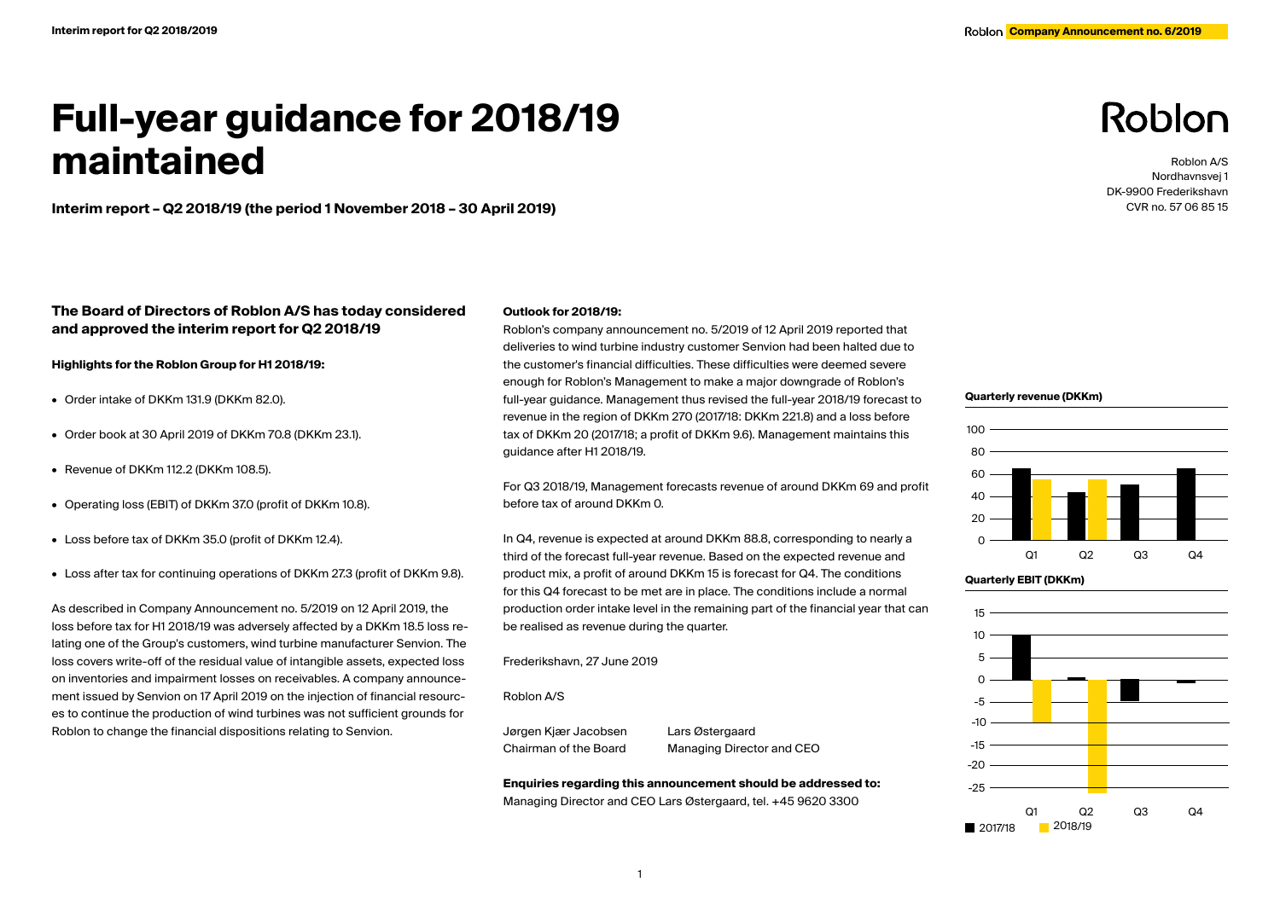# **Full-year guidance for 2018/19 maintained**

**Interim report – Q2 2018/19 (the period 1 November 2018 – 30 April 2019)**

# **The Board of Directors of Roblon A/S has today considered and approved the interim report for Q2 2018/19**

**Highlights for the Roblon Group for H1 2018/19:**

- Order intake of DKKm 131.9 (DKKm 82.0).
- Order book at 30 April 2019 of DKKm 70.8 (DKKm 23.1).
- Revenue of DKKm 112.2 (DKKm 108.5).
- Operating loss (EBIT) of DKKm 37.0 (profit of DKKm 10.8).
- Loss before tax of DKKm 35.0 (profit of DKKm 12.4).
- Loss after tax for continuing operations of DKKm 27.3 (profit of DKKm 9.8).

As described in Company Announcement no. 5/2019 on 12 April 2019, the loss before tax for H1 2018/19 was adversely affected by a DKKm 18.5 loss relating one of the Group's customers, wind turbine manufacturer Senvion. The loss covers write-off of the residual value of intangible assets, expected loss on inventories and impairment losses on receivables. A company announcement issued by Senvion on 17 April 2019 on the injection of financial resources to continue the production of wind turbines was not sufficient grounds for Roblon to change the financial dispositions relating to Senvion.

### **Outlook for 2018/19:**

Roblon's company announcement no. 5/2019 of 12 April 2019 reported that deliveries to wind turbine industry customer Senvion had been halted due to the customer's financial difficulties. These difficulties were deemed severe enough for Roblon's Management to make a major downgrade of Roblon's full-year guidance. Management thus revised the full-year 2018/19 forecast to revenue in the region of DKKm 270 (2017/18: DKKm 221.8) and a loss before tax of DKKm 20 (2017/18; a profit of DKKm 9.6). Management maintains this guidance after H1 2018/19.

For Q3 2018/19, Management forecasts revenue of around DKKm 69 and profit before tax of around DKKm 0.

In Q4, revenue is expected at around DKKm 88.8, corresponding to nearly a third of the forecast full-year revenue. Based on the expected revenue and product mix, a profit of around DKKm 15 is forecast for Q4. The conditions for this Q4 forecast to be met are in place. The conditions include a normal production order intake level in the remaining part of the financial year that can be realised as revenue during the quarter.

#### Frederikshavn, 27 June 2019

#### Roblon A/S

Jørgen Kjær Jacobsen Lars Østergaard

Chairman of the Board Managing Director and CEO

**Enquiries regarding this announcement should be addressed to:** Managing Director and CEO Lars Østergaard, tel. +45 9620 3300

# Roblon

Roblon A/S Nordhavnsvej 1 DK-9900 Frederikshavn CVR no. 57 06 85 15

#### **Quarterly revenue (DKKm)**





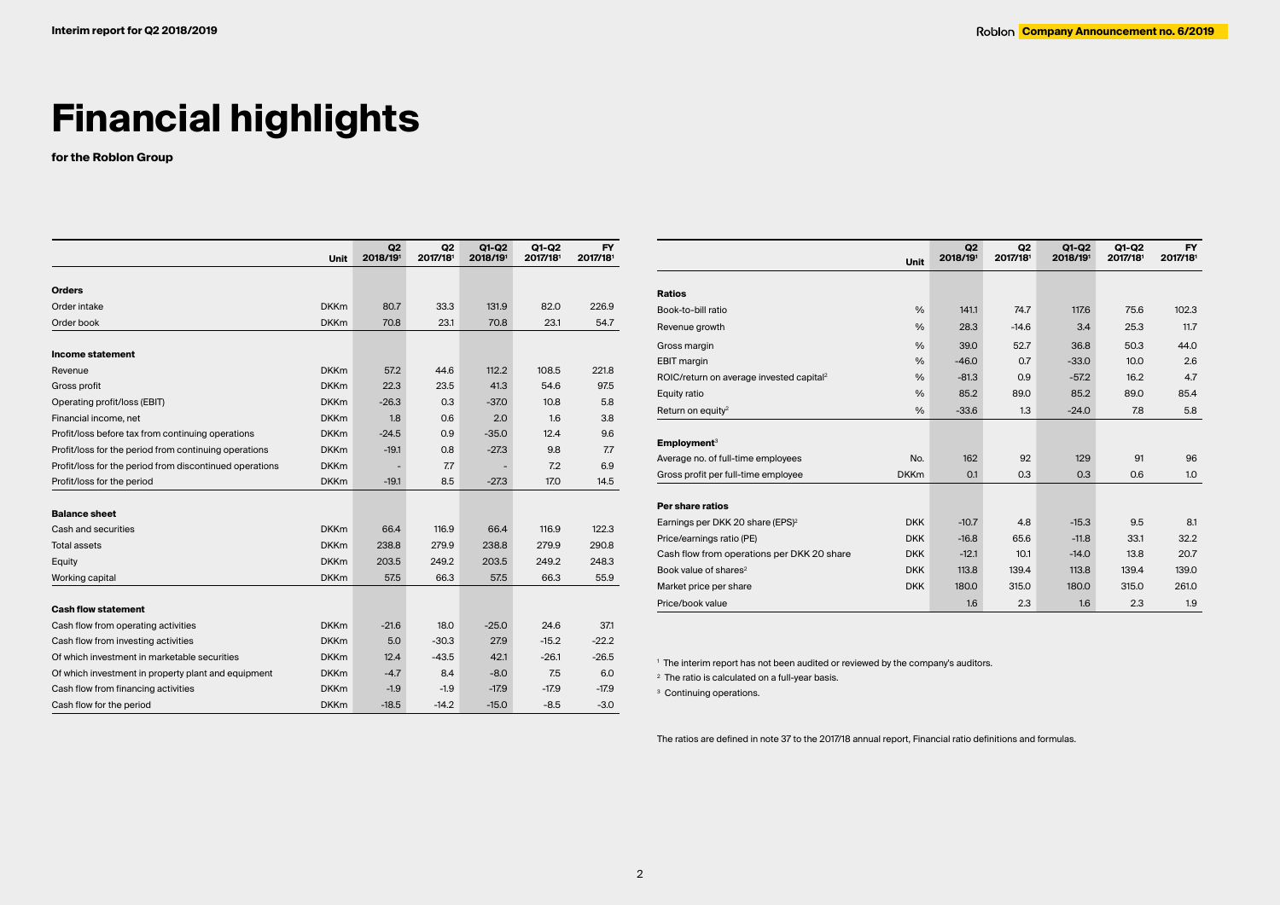# **Financial highlights**

**for the Roblon Group**

|                                                         | <b>Unit</b> | Q <sub>2</sub><br>2018/191 | Q <sub>2</sub><br>2017/181 | $Q1-Q2$<br>2018/191 | $Q1-Q2$<br>2017/181 | <b>FY</b><br>2017/181 |
|---------------------------------------------------------|-------------|----------------------------|----------------------------|---------------------|---------------------|-----------------------|
|                                                         |             |                            |                            |                     |                     |                       |
| <b>Orders</b>                                           |             |                            |                            |                     |                     |                       |
| Order intake                                            | <b>DKKm</b> | 80.7                       | 33.3                       | 131.9               | 82.0                | 226.9                 |
| Order book                                              | <b>DKKm</b> | 70.8                       | 23.1                       | 70.8                | 23.1                | 54.7                  |
| Income statement                                        |             |                            |                            |                     |                     |                       |
| Revenue                                                 | <b>DKKm</b> | 57.2                       | 44.6                       | 112.2               | 108.5               | 221.8                 |
| Gross profit                                            | <b>DKKm</b> | 22.3                       | 23.5                       | 41.3                | 54.6                | 97.5                  |
| Operating profit/loss (EBIT)                            | <b>DKKm</b> | $-26.3$                    | 0.3                        | $-37.0$             | 10.8                | 5.8                   |
| Financial income, net                                   | <b>DKKm</b> | 1.8                        | 0.6                        | 2.0                 | 1.6                 | 3.8                   |
| Profit/loss before tax from continuing operations       | <b>DKKm</b> | $-24.5$                    | 0.9                        | $-35.0$             | 12.4                | 9.6                   |
| Profit/loss for the period from continuing operations   | <b>DKKm</b> | $-19.1$                    | 0.8                        | $-27.3$             | 9.8                 | 7.7                   |
| Profit/loss for the period from discontinued operations | <b>DKKm</b> |                            | 7.7                        |                     | 7.2                 | 6.9                   |
| Profit/loss for the period                              | <b>DKKm</b> | $-19.1$                    | 8.5                        | $-27.3$             | 17.0                | 14.5                  |
| <b>Balance sheet</b>                                    |             |                            |                            |                     |                     |                       |
| Cash and securities                                     | <b>DKKm</b> | 66.4                       | 116.9                      | 66.4                | 116.9               | 122.3                 |
| <b>Total assets</b>                                     | <b>DKKm</b> | 238.8                      | 279.9                      | 238.8               | 279.9               | 290.8                 |
| Equity                                                  | <b>DKKm</b> | 203.5                      | 249.2                      | 203.5               | 249.2               | 248.3                 |
| Working capital                                         | <b>DKKm</b> | 57.5                       | 66.3                       | 57.5                | 66.3                | 55.9                  |
| <b>Cash flow statement</b>                              |             |                            |                            |                     |                     |                       |
| Cash flow from operating activities                     | <b>DKKm</b> | $-21.6$                    | 18.0                       | $-25.0$             | 24.6                | 371                   |
| Cash flow from investing activities                     | <b>DKKm</b> | 5.0                        | $-30.3$                    | 27.9                | $-15.2$             | $-22.2$               |
| Of which investment in marketable securities            | <b>DKKm</b> | 12.4                       | $-43.5$                    | 42.1                | $-26.1$             | $-26.5$               |
| Of which investment in property plant and equipment     | <b>DKKm</b> | $-4.7$                     | 8.4                        | $-8.0$              | 7.5                 | 6.0                   |
| Cash flow from financing activities                     | <b>DKKm</b> | $-1.9$                     | $-1.9$                     | $-17.9$             | $-17.9$             | $-17.9$               |
| Cash flow for the period                                | <b>DKKm</b> | $-18.5$                    | $-14.2$                    | $-15.0$             | $-8.5$              | $-3.0$                |

|                                                      |               | Q <sub>2</sub> | Q <sub>2</sub> | $Q1-Q2$  | Q1-Q2    | <b>FY</b> |
|------------------------------------------------------|---------------|----------------|----------------|----------|----------|-----------|
|                                                      | <b>Unit</b>   | 2018/191       | 2017/181       | 2018/191 | 2017/181 | 2017/181  |
|                                                      |               |                |                |          |          |           |
| <b>Ratios</b>                                        |               |                |                |          |          |           |
| Book-to-bill ratio                                   | $\frac{0}{0}$ | 141.1          | 74.7           | 117.6    | 75.6     | 102.3     |
| Revenue growth                                       | $\frac{0}{6}$ | 28.3           | $-14.6$        | 3.4      | 25.3     | 11.7      |
| Gross margin                                         | $\frac{0}{0}$ | 39.0           | 52.7           | 36.8     | 50.3     | 44.0      |
| <b>EBIT</b> margin                                   | $\frac{0}{6}$ | $-46.0$        | 0.7            | $-33.0$  | 10.0     | 2.6       |
| ROIC/return on average invested capital <sup>2</sup> | $\frac{0}{0}$ | $-81.3$        | 0.9            | $-57.2$  | 16.2     | 4.7       |
| Equity ratio                                         | $\frac{0}{0}$ | 85.2           | 89.0           | 85.2     | 89.0     | 85.4      |
| Return on equity <sup>2</sup>                        | $\frac{0}{0}$ | $-33.6$        | 1.3            | $-24.0$  | 7.8      | 5.8       |
|                                                      |               |                |                |          |          |           |
| Employment <sup>3</sup>                              |               |                |                |          |          |           |
| Average no. of full-time employees                   | No.           | 162            | 92             | 129      | 91       | 96        |
| Gross profit per full-time employee                  | <b>DKKm</b>   | 0.1            | 0.3            | 0.3      | 0.6      | 1.0       |
|                                                      |               |                |                |          |          |           |
| Per share ratios                                     |               |                |                |          |          |           |
| Earnings per DKK 20 share (EPS) <sup>2</sup>         | <b>DKK</b>    | $-10.7$        | 4.8            | $-15.3$  | 9.5      | 8.1       |
| Price/earnings ratio (PE)                            | <b>DKK</b>    | $-16.8$        | 65.6           | $-11.8$  | 33.1     | 32.2      |
| Cash flow from operations per DKK 20 share           | <b>DKK</b>    | $-12.1$        | 10.1           | $-14.0$  | 13.8     | 20.7      |
| Book value of shares <sup>2</sup>                    | <b>DKK</b>    | 113.8          | 139.4          | 113.8    | 139.4    | 139.0     |
| Market price per share                               | <b>DKK</b>    | 180.0          | 315.0          | 180.0    | 315.0    | 261.0     |
| Price/book value                                     |               | 1.6            | 2.3            | 1.6      | 2.3      | 1.9       |

1 The interim report has not been audited or reviewed by the company's auditors.

2 The ratio is calculated on a full-year basis.

<sup>3</sup> Continuing operations.

The ratios are defined in note 37 to the 2017/18 annual report, Financial ratio definitions and formulas.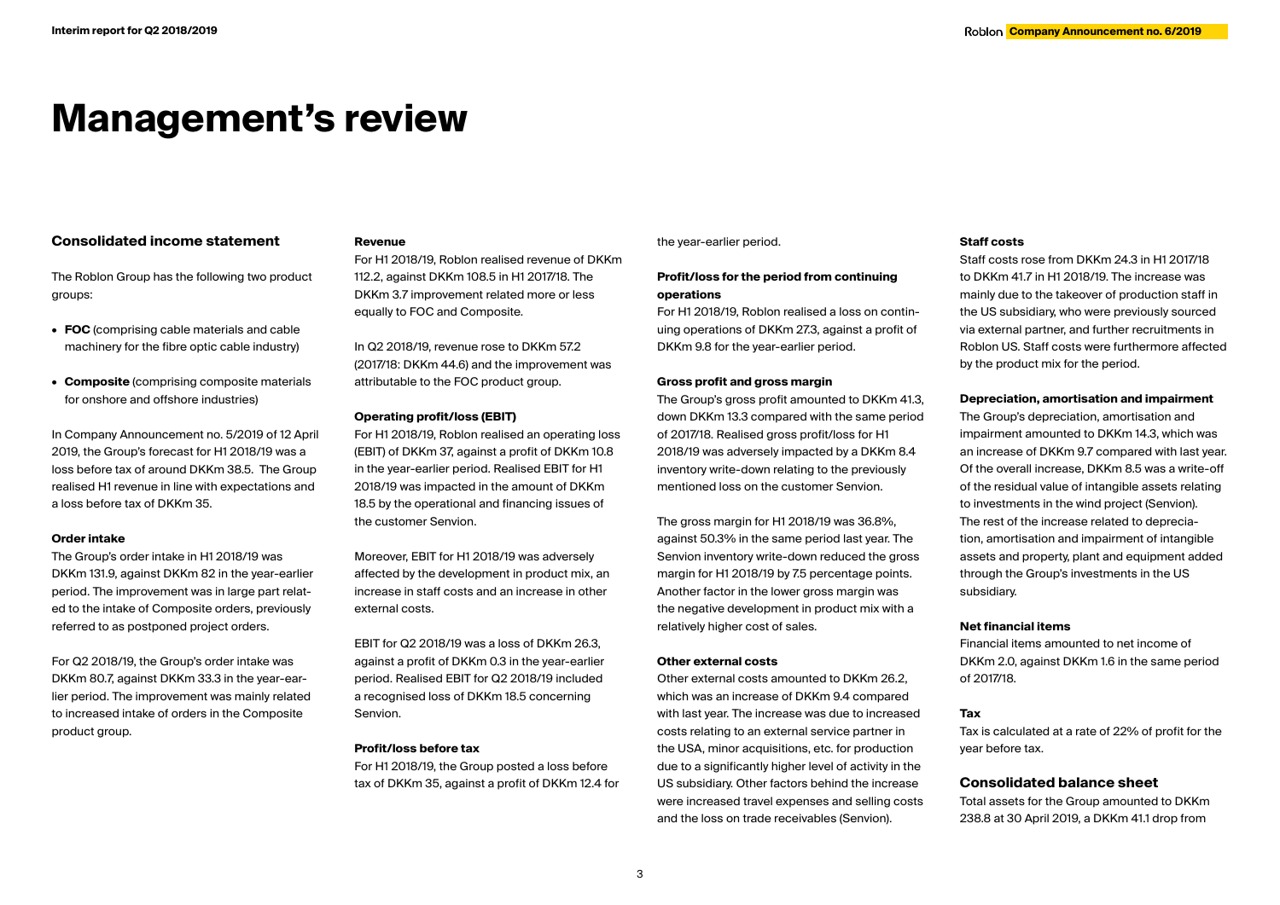# **Management's review**

# **Consolidated income statement**

The Roblon Group has the following two product groups:

- **• FOC** (comprising cable materials and cable machinery for the fibre optic cable industry)
- **• Composite** (comprising composite materials for onshore and offshore industries)

In Company Announcement no. 5/2019 of 12 April 2019, the Group's forecast for H1 2018/19 was a loss before tax of around DKKm 38.5. The Group realised H1 revenue in line with expectations and a loss before tax of DKKm 35.

### **Order intake**

The Group's order intake in H1 2018/19 was DKKm 131.9, against DKKm 82 in the year-earlier period. The improvement was in large part related to the intake of Composite orders, previously referred to as postponed project orders.

For Q2 2018/19, the Group's order intake was DKKm 80.7, against DKKm 33.3 in the year-earlier period. The improvement was mainly related to increased intake of orders in the Composite product group.

# **Revenue**

For H1 2018/19, Roblon realised revenue of DKKm 112.2, against DKKm 108.5 in H1 2017/18. The DKKm 3.7 improvement related more or less equally to FOC and Composite.

In Q2 2018/19, revenue rose to DKKm 57.2 (2017/18: DKKm 44.6) and the improvement was attributable to the FOC product group.

# **Operating profit/loss (EBIT)**

For H1 2018/19, Roblon realised an operating loss (EBIT) of DKKm 37, against a profit of DKKm 10.8 in the year-earlier period. Realised EBIT for H1 2018/19 was impacted in the amount of DKKm 18.5 by the operational and financing issues of the customer Senvion.

Moreover, EBIT for H1 2018/19 was adversely affected by the development in product mix, an increase in staff costs and an increase in other external costs.

EBIT for Q2 2018/19 was a loss of DKKm 26.3, against a profit of DKKm 0.3 in the year-earlier period. Realised EBIT for Q2 2018/19 included a recognised loss of DKKm 18.5 concerning Senvion.

### **Profit/loss before tax**

For H1 2018/19, the Group posted a loss before tax of DKKm 35, against a profit of DKKm 12.4 for

### the year-earlier period.

# **Profit/loss for the period from continuing operations**

For H1 2018/19, Roblon realised a loss on continuing operations of DKKm 27.3, against a profit of DKKm 9.8 for the year-earlier period.

# **Gross profit and gross margin**

The Group's gross profit amounted to DKKm 41.3, down DKKm 13.3 compared with the same period of 2017/18. Realised gross profit/loss for H1 2018/19 was adversely impacted by a DKKm 8.4 inventory write-down relating to the previously mentioned loss on the customer Senvion.

The gross margin for H1 2018/19 was 36.8%, against 50.3% in the same period last year. The Senvion inventory write-down reduced the gross margin for H1 2018/19 by 7.5 percentage points. Another factor in the lower gross margin was the negative development in product mix with a relatively higher cost of sales.

## **Other external costs**

Other external costs amounted to DKKm 26.2, which was an increase of DKKm 9.4 compared with last year. The increase was due to increased costs relating to an external service partner in the USA, minor acquisitions, etc. for production due to a significantly higher level of activity in the US subsidiary. Other factors behind the increase were increased travel expenses and selling costs and the loss on trade receivables (Senvion).

# **Staff costs**

Staff costs rose from DKKm 24.3 in H1 2017/18 to DKKm 41.7 in H1 2018/19. The increase was mainly due to the takeover of production staff in the US subsidiary, who were previously sourced via external partner, and further recruitments in Roblon US. Staff costs were furthermore affected by the product mix for the period.

# **Depreciation, amortisation and impairment**

The Group's depreciation, amortisation and impairment amounted to DKKm 14.3, which was an increase of DKKm 9.7 compared with last year. Of the overall increase, DKKm 8.5 was a write-off of the residual value of intangible assets relating to investments in the wind project (Senvion). The rest of the increase related to depreciation, amortisation and impairment of intangible assets and property, plant and equipment added through the Group's investments in the US subsidiary.

# **Net financial items**

Financial items amounted to net income of DKKm 2.0, against DKKm 1.6 in the same period of 2017/18.

# **Tax**

Tax is calculated at a rate of 22% of profit for the year before tax.

# **Consolidated balance sheet**

Total assets for the Group amounted to DKKm 238.8 at 30 April 2019, a DKKm 41.1 drop from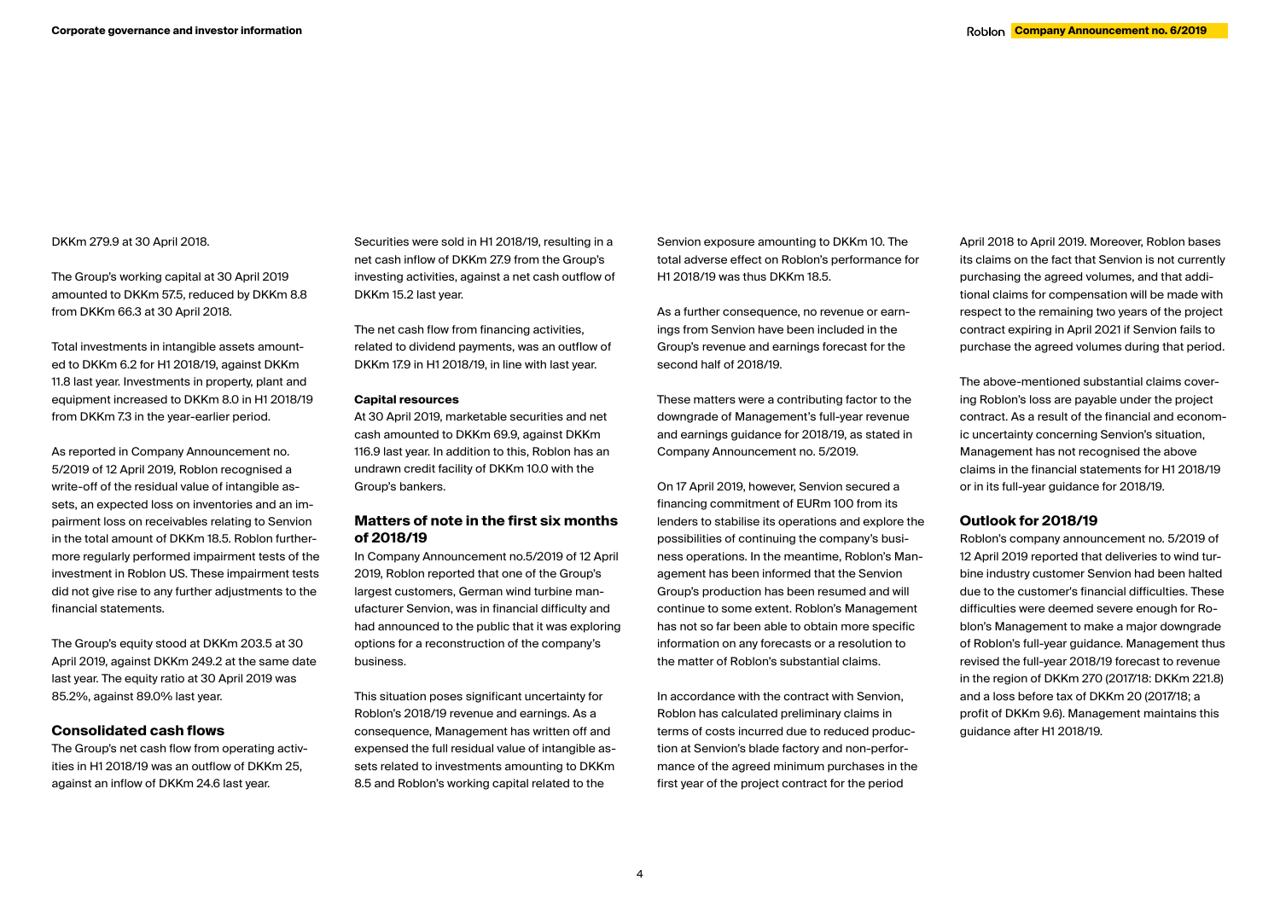# DKKm 279.9 at 30 April 2018.

The Group's working capital at 30 April 2019 amounted to DKKm 57.5, reduced by DKKm 8.8 from DKKm 66.3 at 30 April 2018.

Total investments in intangible assets amounted to DKKm 6.2 for H1 2018/19, against DKKm 11.8 last year. Investments in property, plant and equipment increased to DKKm 8.0 in H1 2018/19 from DKKm 7.3 in the year-earlier period.

As reported in Company Announcement no. 5/2019 of 12 April 2019, Roblon recognised a write-off of the residual value of intangible assets, an expected loss on inventories and an impairment loss on receivables relating to Senvion in the total amount of DKKm 18.5. Roblon furthermore regularly performed impairment tests of the investment in Roblon US. These impairment tests did not give rise to any further adjustments to the financial statements.

The Group's equity stood at DKKm 203.5 at 30 April 2019, against DKKm 249.2 at the same date last year. The equity ratio at 30 April 2019 was 85.2%, against 89.0% last year.

# **Consolidated cash flows**

The Group's net cash flow from operating activities in H1 2018/19 was an outflow of DKKm 25, against an inflow of DKKm 24.6 last year.

Securities were sold in H1 2018/19, resulting in a net cash inflow of DKKm 27.9 from the Group's investing activities, against a net cash outflow of DKKm 15.2 last year.

The net cash flow from financing activities, related to dividend payments, was an outflow of DKKm 17.9 in H1 2018/19, in line with last year.

#### **Capital resources**

At 30 April 2019, marketable securities and net cash amounted to DKKm 69.9, against DKKm 116.9 last year. In addition to this, Roblon has an undrawn credit facility of DKKm 10.0 with the Group's bankers.

# **Matters of note in the first six months of 2018/19**

In Company Announcement no.5/2019 of 12 April 2019, Roblon reported that one of the Group's largest customers, German wind turbine manufacturer Senvion, was in financial difficulty and had announced to the public that it was exploring options for a reconstruction of the company's business.

This situation poses significant uncertainty for Roblon's 2018/19 revenue and earnings. As a consequence, Management has written off and expensed the full residual value of intangible assets related to investments amounting to DKKm 8.5 and Roblon's working capital related to the

Senvion exposure amounting to DKKm 10. The total adverse effect on Roblon's performance for H1 2018/19 was thus DKKm 18.5.

As a further consequence, no revenue or earnings from Senvion have been included in the Group's revenue and earnings forecast for the second half of 2018/19.

These matters were a contributing factor to the downgrade of Management's full-year revenue and earnings guidance for 2018/19, as stated in Company Announcement no. 5/2019.

On 17 April 2019, however, Senvion secured a financing commitment of EURm 100 from its lenders to stabilise its operations and explore the possibilities of continuing the company's business operations. In the meantime, Roblon's Management has been informed that the Senvion Group's production has been resumed and will continue to some extent. Roblon's Management has not so far been able to obtain more specific information on any forecasts or a resolution to the matter of Roblon's substantial claims.

In accordance with the contract with Senvion, Roblon has calculated preliminary claims in terms of costs incurred due to reduced production at Senvion's blade factory and non-performance of the agreed minimum purchases in the first year of the project contract for the period

April 2018 to April 2019. Moreover, Roblon bases its claims on the fact that Senvion is not currently purchasing the agreed volumes, and that additional claims for compensation will be made with respect to the remaining two years of the project contract expiring in April 2021 if Senvion fails to purchase the agreed volumes during that period.

The above-mentioned substantial claims covering Roblon's loss are payable under the project contract. As a result of the financial and economic uncertainty concerning Senvion's situation, Management has not recognised the above claims in the financial statements for H1 2018/19 or in its full-year guidance for 2018/19.

### **Outlook for 2018/19**

Roblon's company announcement no. 5/2019 of 12 April 2019 reported that deliveries to wind turbine industry customer Senvion had been halted due to the customer's financial difficulties. These difficulties were deemed severe enough for Roblon's Management to make a major downgrade of Roblon's full-year guidance. Management thus revised the full-year 2018/19 forecast to revenue in the region of DKKm 270 (2017/18: DKKm 221.8) and a loss before tax of DKKm 20 (2017/18; a profit of DKKm 9.6). Management maintains this guidance after H1 2018/19.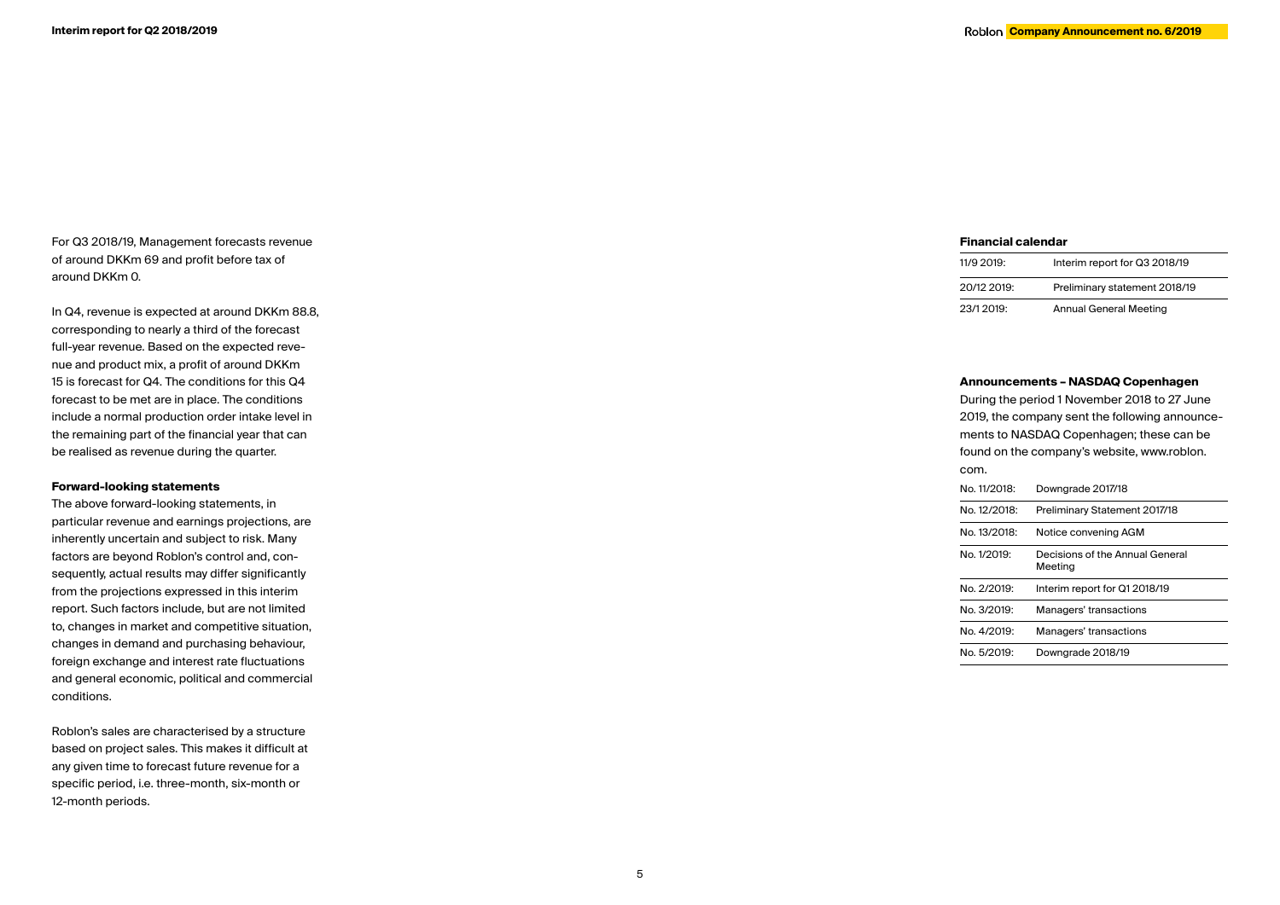For Q3 2018/19, Management forecasts revenue of around DKKm 69 and profit before tax of around DKKm 0.

In Q4, revenue is expected at around DKKm 88.8, corresponding to nearly a third of the forecast full-year revenue. Based on the expected reve nue and product mix, a profit of around DKKm 15 is forecast for Q4. The conditions for this Q4 forecast to be met are in place. The conditions include a normal production order intake level in the remaining part of the financial year that can be realised as revenue during the quarter.

# **Forward-looking statements**

The above forward-looking statements, in particular revenue and earnings projections, are inherently uncertain and subject to risk. Many factors are beyond Roblon's control and, con sequently, actual results may differ significantly from the projections expressed in this interim report. Such factors include, but are not limited to, changes in market and competitive situation, changes in demand and purchasing behaviour, foreign exchange and interest rate fluctuations and general economic, political and commercial conditions.

Roblon's sales are characterised by a structure based on project sales. This makes it difficult at any given time to forecast future revenue for a specific period, i.e. three-month, six-month or 12-month periods.

### **Financial calendar**

| 11/9 2019:  | Interim report for Q3 2018/19 |
|-------------|-------------------------------|
| 20/12 2019: | Preliminary statement 2018/19 |
| 23/1 2019:  | <b>Annual General Meeting</b> |

### **Announcements – NASDAQ Copenhagen**

During the period 1 November 2018 to 27 June 2019, the company sent the following announce ments to NASDAQ Copenhagen; these can be found on the company's website, www.roblon. com. No. 11/2018: Downgrade 2017/18 No. 12/2018: Preliminary Statement 2017/18 No. 13/2018: Notice convening AGM No. 1/2019: Decisions of the Annual General Meeting No. 2/2019: Interim report for Q1 2018/19

- No. 3/2019: Managers' transactions
- No. 4/2019: Managers' transactions
- No. 5/2019: Downgrade 2018/19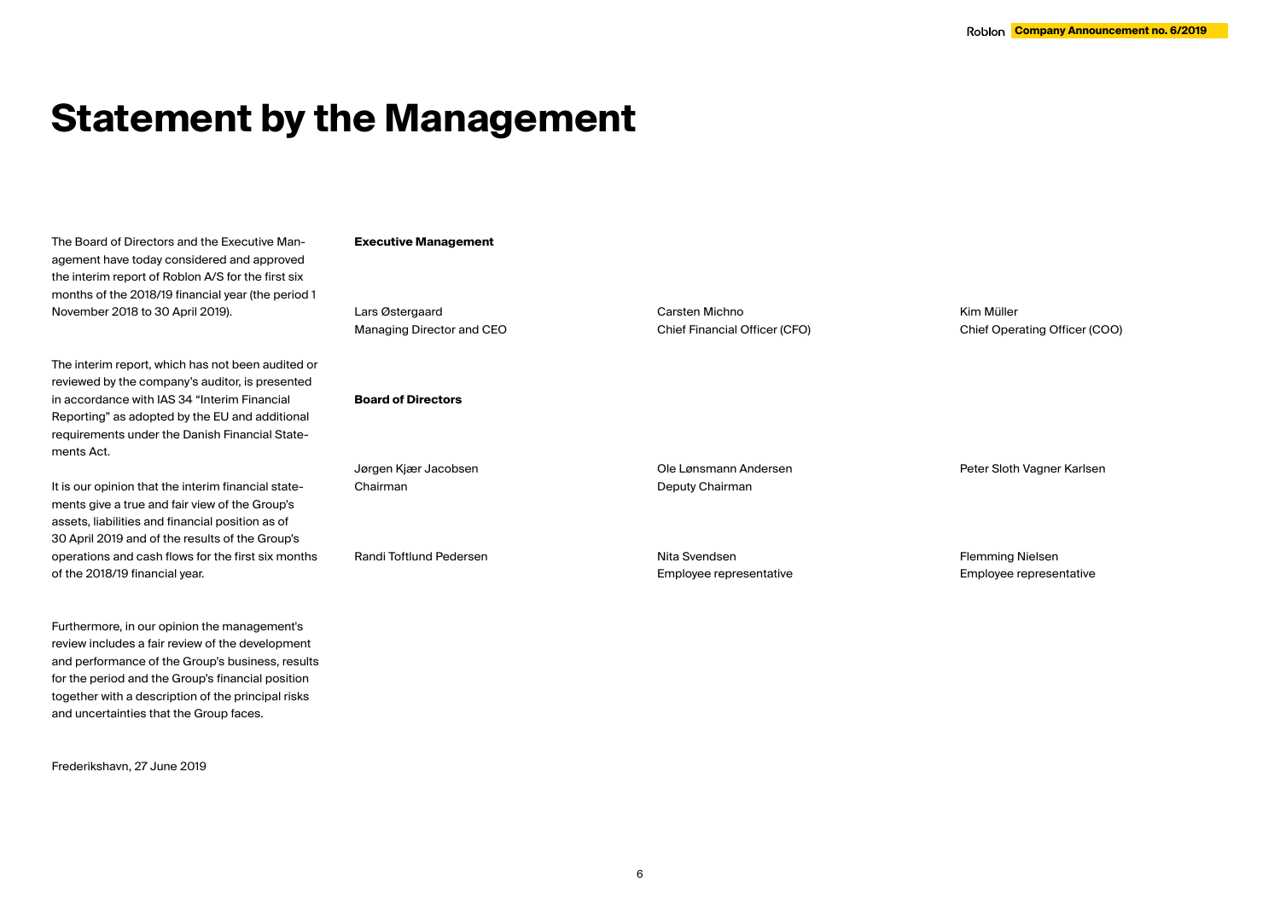# **Statement by the Management**

The Board of Directors and the Executive Management have today considered and approved the interim report of Roblon A/S for the first six months of the 2018/19 financial year (the period 1 November 2018 to 30 April 2019).

The interim report, which has not been audited or reviewed by the company's auditor, is presented in accordance with IAS 34 "Interim Financial Reporting" as adopted by the EU and additional requirements under the Danish Financial Statements Act.

It is our opinion that the interim financial statements give a true and fair view of the Group's assets, liabilities and financial position as of 30 April 2019 and of the results of the Group's operations and cash flows for the first six months of the 2018/19 financial year.

Furthermore, in our opinion the management's review includes a fair review of the development and performance of the Group's business, results for the period and the Group's financial position together with a description of the principal risks and uncertainties that the Group faces.

Frederikshavn, 27 June 2019

#### **Executive Management**

Lars Østergaard Managing Director and CEO

# **Board of Directors**

Jørgen Kjær Jacobsen Chairman

Deputy Chairman

Randi Toftlund Pedersen

Nita Svendsen Employee representative

Ole Lønsmann Andersen

Carsten Michno

Chief Financial Officer (CFO)

Kim Müller Chief Operating Officer (COO)

Flemming Nielsen Employee representative

Peter Sloth Vagner Karlsen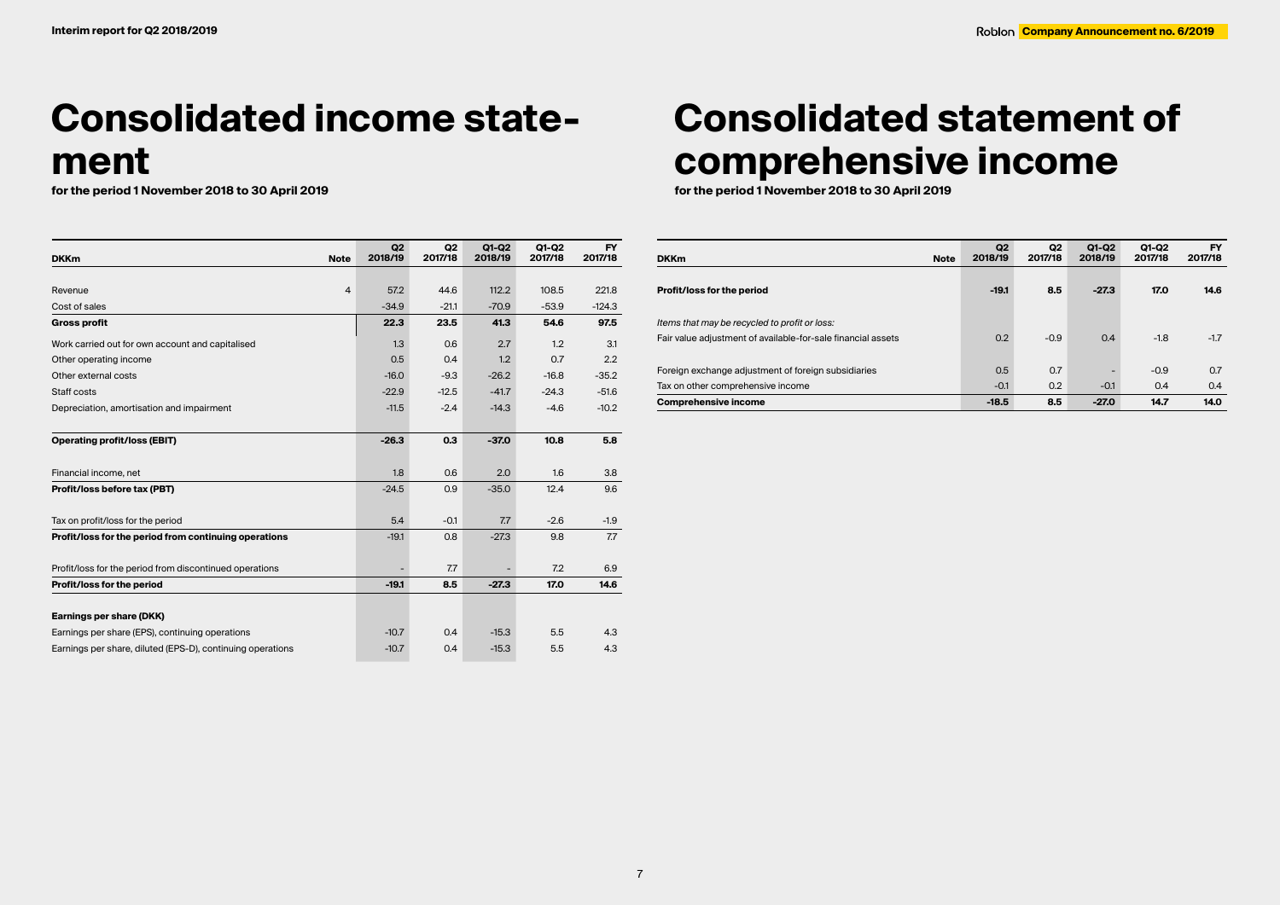# **Consolidated income state**ment<br>for the period 1 November 2018 to 30 April 2019

| <b>DKKm</b>                                                | <b>Note</b>    | Q2<br>2018/19 | Q <sub>2</sub><br>2017/18 | $Q1-Q2$<br>2018/19 | Q1-Q2<br>2017/18 | <b>FY</b><br>2017/18 |
|------------------------------------------------------------|----------------|---------------|---------------------------|--------------------|------------------|----------------------|
|                                                            |                |               |                           |                    |                  |                      |
| Revenue                                                    | $\overline{4}$ | 57.2          | 44.6                      | 112.2              | 108.5            | 221.8                |
| Cost of sales                                              |                | $-34.9$       | $-21.1$                   | $-70.9$            | $-53.9$          | $-124.3$             |
| <b>Gross profit</b>                                        |                | 22.3          | 23.5                      | 41.3               | 54.6             | 97.5                 |
| Work carried out for own account and capitalised           |                | 1.3           | 0.6                       | 2.7                | 1.2              | 3.1                  |
| Other operating income                                     |                | 0.5           | 0.4                       | 1.2                | 0.7              | 2.2                  |
| Other external costs                                       |                | $-16.0$       | $-9.3$                    | $-26.2$            | $-16.8$          | $-35.2$              |
| Staff costs                                                |                | $-22.9$       | $-12.5$                   | $-41.7$            | $-24.3$          | $-51.6$              |
| Depreciation, amortisation and impairment                  |                | $-11.5$       | $-2.4$                    | $-14.3$            | $-4.6$           | $-10.2$              |
| <b>Operating profit/loss (EBIT)</b>                        |                | $-26.3$       | 0.3                       | $-37.0$            | 10.8             | 5.8                  |
| Financial income, net                                      |                | 1.8           | 0.6                       | 2.0                | 1.6              | 3.8                  |
| Profit/loss before tax (PBT)                               |                | $-24.5$       | 0.9                       | $-35.0$            | 12.4             | 9.6                  |
| Tax on profit/loss for the period                          |                | 5.4           | $-0.1$                    | 7.7                | $-2.6$           | $-1.9$               |
| Profit/loss for the period from continuing operations      |                | $-19.1$       | 0.8                       | $-27.3$            | 9.8              | 7.7                  |
| Profit/loss for the period from discontinued operations    |                |               | 7.7                       |                    | 7.2              | 6.9                  |
| Profit/loss for the period                                 |                | $-19.1$       | 8.5                       | $-27.3$            | 17.0             | 14.6                 |
| Earnings per share (DKK)                                   |                |               |                           |                    |                  |                      |
| Earnings per share (EPS), continuing operations            |                | $-10.7$       | 0.4                       | $-15.3$            | 5.5              | 4.3                  |
| Earnings per share, diluted (EPS-D), continuing operations |                | $-10.7$       | 0.4                       | $-15.3$            | 5.5              | 4.3                  |

# **Consolidated statement of comprehensive income**

**for the period 1 November 2018 to 30 April 2019 for the period 1 November 2018 to 30 April 2019**

| <b>DKKm</b><br><b>Note</b>                                   | Q2<br>2018/19 | Q <sub>2</sub><br>2017/18 | Q1-Q2<br>2018/19 | Q1-Q2<br>2017/18 | <b>FY</b><br>2017/18 |
|--------------------------------------------------------------|---------------|---------------------------|------------------|------------------|----------------------|
|                                                              |               |                           |                  |                  |                      |
| Profit/loss for the period                                   | $-19.1$       | 8.5                       | $-27.3$          | 17.0             | 14.6                 |
| Items that may be recycled to profit or loss:                |               |                           |                  |                  |                      |
| Fair value adjustment of available-for-sale financial assets | 0.2           | $-0.9$                    | 0.4              | $-1.8$           | $-1.7$               |
|                                                              |               |                           |                  |                  |                      |
| Foreign exchange adjustment of foreign subsidiaries          | 0.5           | 0.7                       |                  | $-0.9$           | 0.7                  |
| Tax on other comprehensive income                            | $-0.1$        | 0.2                       | $-0.1$           | 0.4              | 0.4                  |
| <b>Comprehensive income</b>                                  | $-18.5$       | 8.5                       | $-27.0$          | 14.7             | 14.0                 |

7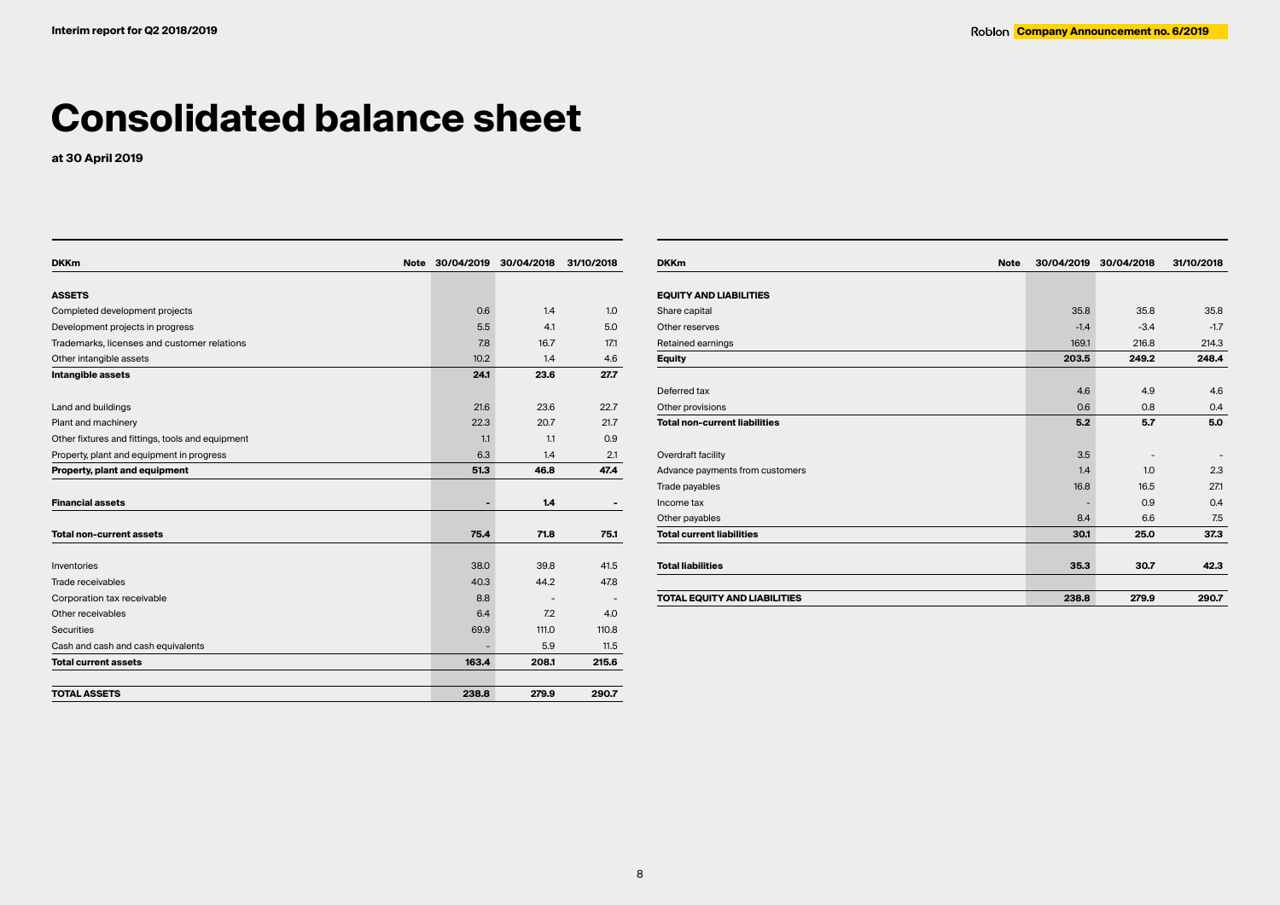# **Consolidated balance sheet**

**at 30 April 2019**

| <b>DKKm</b>                                      | Note 30/04/2019 | 30/04/2018 | 31/10/2018 |
|--------------------------------------------------|-----------------|------------|------------|
|                                                  |                 |            |            |
| <b>ASSETS</b>                                    |                 |            |            |
| Completed development projects                   | 0.6             | 1.4        | 1.0        |
| Development projects in progress                 | 5.5             | 4.1        | 5.0        |
| Trademarks, licenses and customer relations      | 7.8             | 16.7       | 17.1       |
| Other intangible assets                          | 10.2            | 1.4        | 4.6        |
| Intangible assets                                | 24.1            | 23.6       | 27.7       |
| Land and buildings                               | 21.6            | 23.6       | 22.7       |
| Plant and machinery                              | 22.3            | 20.7       | 21.7       |
| Other fixtures and fittings, tools and equipment | 1.1             | 1.1        | 0.9        |
| Property, plant and equipment in progress        | 6.3             | 1.4        | 2.1        |
| Property, plant and equipment                    | 51.3            | 46.8       | 47.4       |
| <b>Financial assets</b>                          | ٠               | 1.4        |            |
| <b>Total non-current assets</b>                  | 75.4            | 71.8       | 75.1       |
| Inventories                                      | 38.0            | 39.8       | 41.5       |
| Trade receivables                                | 40.3            | 44.2       | 47.8       |
| Corporation tax receivable                       | 8.8             |            |            |
| Other receivables                                | 6.4             | 7.2        | 4.0        |
| <b>Securities</b>                                | 69.9            | 111.0      | 110.8      |
| Cash and cash and cash equivalents               |                 | 5.9        | 11.5       |
| <b>Total current assets</b>                      | 163.4           | 208.1      | 215.6      |
| <b>TOTAL ASSETS</b>                              | 238.8           | 279.9      | 290.7      |

| <b>DKKm</b><br><b>Note</b>           | 30/04/2019 | 30/04/2018 | 31/10/2018 |
|--------------------------------------|------------|------------|------------|
|                                      |            |            |            |
| <b>EQUITY AND LIABILITIES</b>        |            |            |            |
| Share capital                        | 35.8       | 35.8       | 35.8       |
| Other reserves                       | $-1.4$     | $-3.4$     | $-1.7$     |
| Retained earnings                    | 169.1      | 216.8      | 214.3      |
| <b>Equity</b>                        | 203.5      | 249.2      | 248.4      |
| Deferred tax                         | 4.6        | 4.9        | 4.6        |
| Other provisions                     | 0.6        | 0.8        | 0.4        |
| <b>Total non-current liabilities</b> | 5.2        | 5.7        | 5.0        |
| Overdraft facility                   | 3.5        |            |            |
| Advance payments from customers      | 1.4        | 1.0        | 2.3        |
| Trade payables                       | 16.8       | 16.5       | 271        |
| Income tax                           |            | 0.9        | 0.4        |
| Other payables                       | 8.4        | 6.6        | 7.5        |
| <b>Total current liabilities</b>     | 30.1       | 25.0       | 37.3       |
| <b>Total liabilities</b>             | 35.3       | 30.7       | 42.3       |
| <b>TOTAL EQUITY AND LIABILITIES</b>  | 238.8      | 279.9      | 290.7      |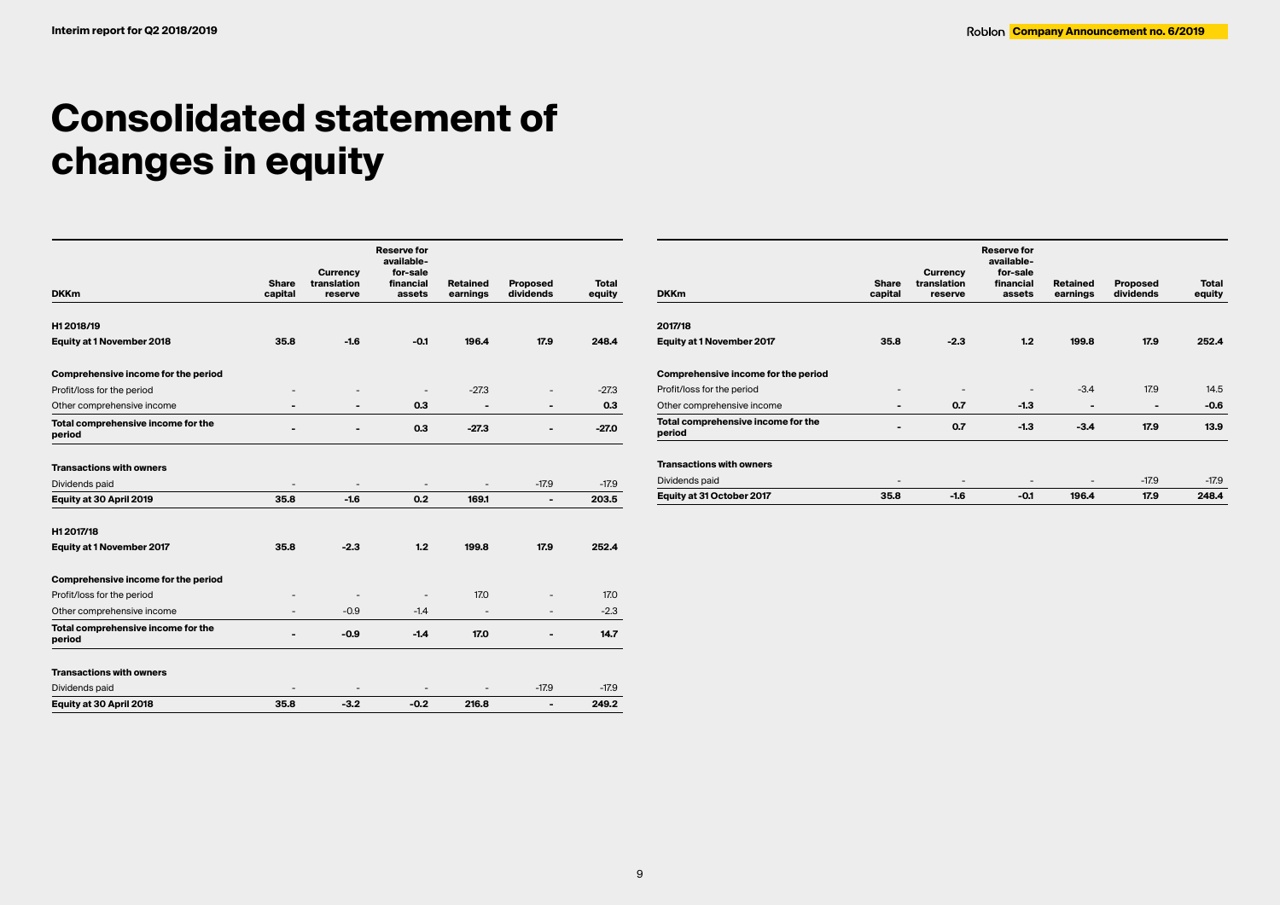# **Consolidated statement of changes in equity**

|                                              | <b>Share</b> | <b>Currency</b><br>translation | <b>Reserve for</b><br>available-<br>for-sale<br>financial | <b>Retained</b> | Proposed                 | <b>Total</b> |
|----------------------------------------------|--------------|--------------------------------|-----------------------------------------------------------|-----------------|--------------------------|--------------|
| <b>DKKm</b>                                  | capital      | reserve                        | assets                                                    | earnings        | dividends                | equity       |
| H12018/19                                    |              |                                |                                                           |                 |                          |              |
| Equity at 1 November 2018                    | 35.8         | $-1.6$                         | $-0.1$                                                    | 196.4           | 17.9                     | 248.4        |
| Comprehensive income for the period          |              |                                |                                                           |                 |                          |              |
| Profit/loss for the period                   |              |                                |                                                           | $-27.3$         |                          | $-27.3$      |
| Other comprehensive income                   |              |                                | 0.3                                                       | -               | -                        | 0.3          |
| Total comprehensive income for the<br>period |              | $\overline{a}$                 | 0.3                                                       | $-27.3$         | $\overline{a}$           | $-27.0$      |
| <b>Transactions with owners</b>              |              |                                |                                                           |                 |                          |              |
| Dividends paid                               |              |                                |                                                           |                 | $-17.9$                  | $-17.9$      |
| Equity at 30 April 2019                      | 35.8         | $-1.6$                         | 0.2                                                       | 169.1           | $\overline{a}$           | 203.5        |
| H12017/18                                    |              |                                |                                                           |                 |                          |              |
| Equity at 1 November 2017                    | 35.8         | $-2.3$                         | 1.2                                                       | 199.8           | 17.9                     | 252.4        |
| Comprehensive income for the period          |              |                                |                                                           |                 |                          |              |
| Profit/loss for the period                   |              |                                |                                                           | 17.0            |                          | 17.0         |
| Other comprehensive income                   |              | $-0.9$                         | $-1.4$                                                    |                 |                          | $-2.3$       |
| Total comprehensive income for the<br>period |              | $-0.9$                         | $-1.4$                                                    | 17.0            | $\overline{\phantom{0}}$ | 14.7         |
| <b>Transactions with owners</b>              |              |                                |                                                           |                 |                          |              |
| Dividends paid                               |              |                                |                                                           |                 | $-17.9$                  | $-17.9$      |
| Equity at 30 April 2018                      | 35.8         | $-3.2$                         | $-0.2$                                                    | 216.8           | $\overline{a}$           | 249.2        |

| <b>DKKm</b>                                  | <b>Share</b><br>capital  | <b>Currency</b><br>translation<br>reserve | <b>Reserve for</b><br>available-<br>for-sale<br>financial<br>assets | <b>Retained</b><br>earnings | <b>Proposed</b><br>dividends | Total<br>equity |
|----------------------------------------------|--------------------------|-------------------------------------------|---------------------------------------------------------------------|-----------------------------|------------------------------|-----------------|
| 2017/18                                      |                          |                                           |                                                                     |                             |                              |                 |
| <b>Equity at 1 November 2017</b>             | 35.8                     | $-2.3$                                    | 1.2                                                                 | 199.8                       | 17.9                         | 252.4           |
| Comprehensive income for the period          |                          |                                           |                                                                     |                             |                              |                 |
| Profit/loss for the period                   | $\overline{\phantom{a}}$ | $\overline{\phantom{a}}$                  |                                                                     | $-3.4$                      | 17.9                         | 14.5            |
| Other comprehensive income                   | -                        | 0.7                                       | $-1.3$                                                              | -                           |                              | $-0.6$          |
| Total comprehensive income for the<br>period | ۰                        | 0.7                                       | $-1.3$                                                              | $-3.4$                      | 17.9                         | 13.9            |
| <b>Transactions with owners</b>              |                          |                                           |                                                                     |                             |                              |                 |
| Dividends paid                               | ٠                        | $\overline{\phantom{a}}$                  | $\overline{\phantom{a}}$                                            | $\overline{\phantom{a}}$    | $-17.9$                      | $-17.9$         |
| Equity at 31 October 2017                    | 35.8                     | $-1.6$                                    | $-0.1$                                                              | 196.4                       | 17.9                         | 248.4           |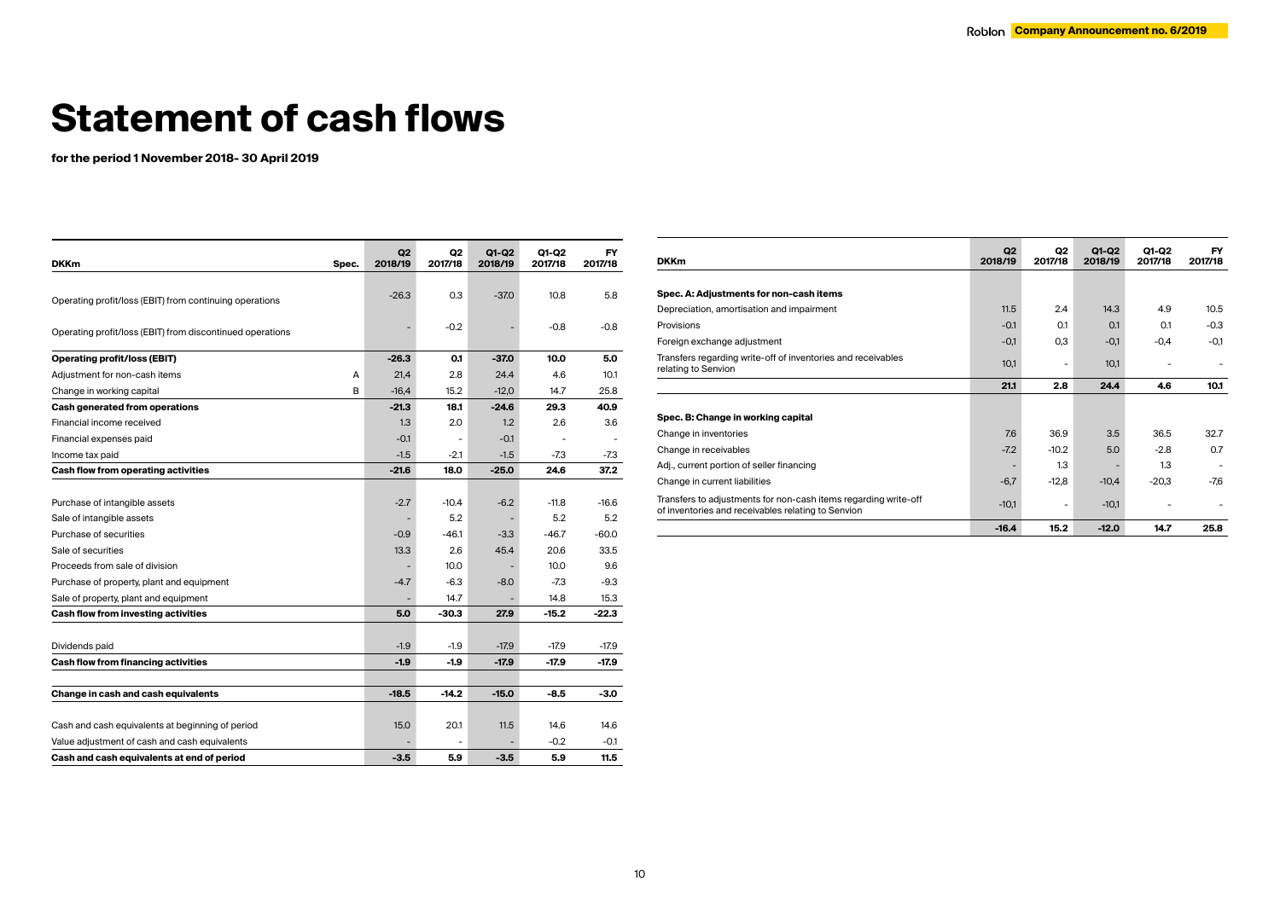# **Statement of cash flows**

**for the period 1 November 2018- 30 April 2019**

| <b>DKKm</b>                                               | Spec. | Q2<br>2018/19 | Q2<br>2017/18  | Q1-Q2<br>2018/19 | Q1-Q2<br>2017/18 | FY<br>2017/18 |
|-----------------------------------------------------------|-------|---------------|----------------|------------------|------------------|---------------|
|                                                           |       |               |                |                  |                  |               |
| Operating profit/loss (EBIT) from continuing operations   |       | $-26.3$       | 0.3            | $-37.0$          | 10.8             | 5.8           |
| Operating profit/loss (EBIT) from discontinued operations |       |               | $-0.2$         |                  | $-0.8$           | $-0.8$        |
| <b>Operating profit/loss (EBIT)</b>                       |       | $-26.3$       | 0.1            | $-37.0$          | 10.0             | 5.0           |
| Adjustment for non-cash items                             | А     | 21,4          | 2.8            | 24.4             | 4.6              | 10.1          |
| Change in working capital                                 | в     | $-16,4$       | 15.2           | $-12,0$          | 14.7             | 25.8          |
| Cash generated from operations                            |       | $-21.3$       | 18.1           | $-24.6$          | 29.3             | 40.9          |
| Financial income received                                 |       | 1.3           | 2.0            | 1.2              | 2.6              | 3.6           |
| Financial expenses paid                                   |       | $-0.1$        | $\overline{a}$ | $-0.1$           | ÷,               |               |
| Income tax paid                                           |       | $-1.5$        | $-2.1$         | $-1.5$           | -7.3             | -7.3          |
| Cash flow from operating activities                       |       | $-21.6$       | 18.0           | $-25.0$          | 24.6             | 37.2          |
|                                                           |       |               |                |                  |                  |               |
| Purchase of intangible assets                             |       | $-2.7$        | $-10.4$        | $-6.2$           | $-11.8$          | $-16.6$       |
| Sale of intangible assets                                 |       |               | 5.2            |                  | 5.2              | 5.2           |
| Purchase of securities                                    |       | $-0.9$        | $-46.1$        | $-3.3$           | $-46.7$          | $-60.0$       |
| Sale of securities                                        |       | 13.3          | 2.6            | 45.4             | 20.6             | 33.5          |
| Proceeds from sale of division                            |       |               | 10.0           |                  | 10.0             | 9.6           |
| Purchase of property, plant and equipment                 |       | $-4.7$        | $-6.3$         | $-8.0$           | $-7.3$           | $-9.3$        |
| Sale of property, plant and equipment                     |       |               | 14.7           |                  | 14.8             | 15.3          |
| Cash flow from investing activities                       |       | 5.0           | -30.3          | 27.9             | $-15.2$          | -22.3         |
|                                                           |       |               |                |                  |                  |               |
| Dividends paid                                            |       | $-1.9$        | $-1.9$         | $-17.9$          | $-17.9$          | -17.9         |
| Cash flow from financing activities                       |       | $-1.9$        | -1.9           | -17.9            | $-17.9$          | -17.9         |
|                                                           |       |               |                |                  |                  |               |
| Change in cash and cash equivalents                       |       | $-18.5$       | $-14.2$        | $-15.0$          | $-8.5$           | -3.0          |
|                                                           |       |               |                |                  |                  |               |
| Cash and cash equivalents at beginning of period          |       | 15.0          | 20.1           | 11.5             | 14.6             | 14.6          |
| Value adjustment of cash and cash equivalents             |       |               |                |                  | $-0.2$           | $-0.1$        |
| Cash and cash equivalents at end of period                |       | $-3.5$        | 5.9            | $-3.5$           | 5.9              | 11.5          |

| <b>DKKm</b>                                                                                                           | Q2<br>2018/19 | Q2<br>2017/18 | Q1-Q2<br>2018/19         | Q1-Q2<br>2017/18 | FY<br>2017/18 |
|-----------------------------------------------------------------------------------------------------------------------|---------------|---------------|--------------------------|------------------|---------------|
|                                                                                                                       |               |               |                          |                  |               |
| Spec. A: Adjustments for non-cash items                                                                               |               |               |                          |                  |               |
| Depreciation, amortisation and impairment                                                                             | 11.5          | 2.4           | 14.3                     | 4.9              | 10.5          |
| Provisions                                                                                                            | $-0.1$        | 0.1           | 0.1                      | 0.1              | $-0.3$        |
| Foreign exchange adjustment                                                                                           | $-0,1$        | 0,3           | $-0,1$                   | $-0,4$           | -0.1          |
| Transfers regarding write-off of inventories and receivables<br>relating to Senvion                                   | 10,1          |               | 10,1                     |                  |               |
|                                                                                                                       | 21.1          | 2.8           | 24.4                     | 4.6              | 10.1          |
|                                                                                                                       |               |               |                          |                  |               |
| Spec. B: Change in working capital                                                                                    |               |               |                          |                  |               |
| Change in inventories                                                                                                 | 7.6           | 36.9          | 3.5                      | 36.5             | 32.7          |
| Change in receivables                                                                                                 | $-7.2$        | $-10.2$       | 5.0                      | $-2.8$           | 0.7           |
| Adj., current portion of seller financing                                                                             |               | 1.3           | $\overline{\phantom{a}}$ | 1.3              |               |
| Change in current liabilities                                                                                         | $-6,7$        | $-12,8$       | $-10,4$                  | $-20,3$          | -7.6          |
| Transfers to adjustments for non-cash items regarding write-off<br>of inventories and receivables relating to Senvion | $-10,1$       |               | $-10,1$                  |                  |               |
|                                                                                                                       | $-16.4$       | 15.2          | $-12.0$                  | 14.7             | 25.8          |